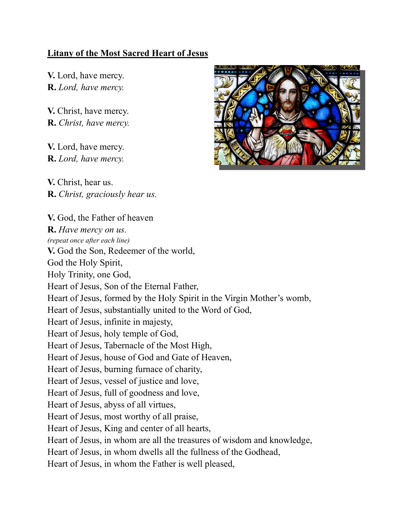## Litany of the Most Sacred Heart of Jesus

V. Lord, have mercy. R. Lord, have mercy.

V. Christ, have mercy. R. Christ, have mercy.

V. Lord, have mercy. R. Lord, have mercy.

V. Christ, hear us. R. Christ, graciously hear us.



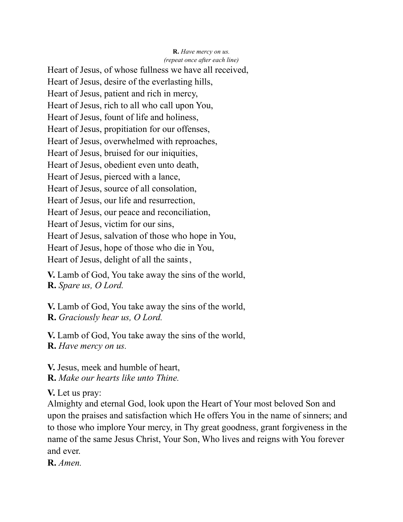## R. Have mercy on us. (repeat once after each line)

Heart of Jesus, of whose fullness we have all received, Heart of Jesus, desire of the everlasting hills, Heart of Jesus, patient and rich in mercy, Heart of Jesus, rich to all who call upon You, Heart of Jesus, fount of life and holiness, Heart of Jesus, propitiation for our offenses, Heart of Jesus, overwhelmed with reproaches, Heart of Jesus, bruised for our iniquities, Heart of Jesus, obedient even unto death, Heart of Jesus, pierced with a lance, Heart of Jesus, source of all consolation, Heart of Jesus, our life and resurrection, Heart of Jesus, our peace and reconciliation, Heart of Jesus, victim for our sins, Heart of Jesus, salvation of those who hope in You, Heart of Jesus, hope of those who die in You, Heart of Jesus, delight of all the saints ,

V. Lamb of God, You take away the sins of the world, R. Spare us, O Lord.

V. Lamb of God, You take away the sins of the world, R. Graciously hear us, O Lord.

V. Lamb of God, You take away the sins of the world, R. Have mercy on us.

V. Jesus, meek and humble of heart, R. Make our hearts like unto Thine.

V. Let us pray:

Almighty and eternal God, look upon the Heart of Your most beloved Son and upon the praises and satisfaction which He offers You in the name of sinners; and to those who implore Your mercy, in Thy great goodness, grant forgiveness in the name of the same Jesus Christ, Your Son, Who lives and reigns with You forever and ever.

R. Amen.